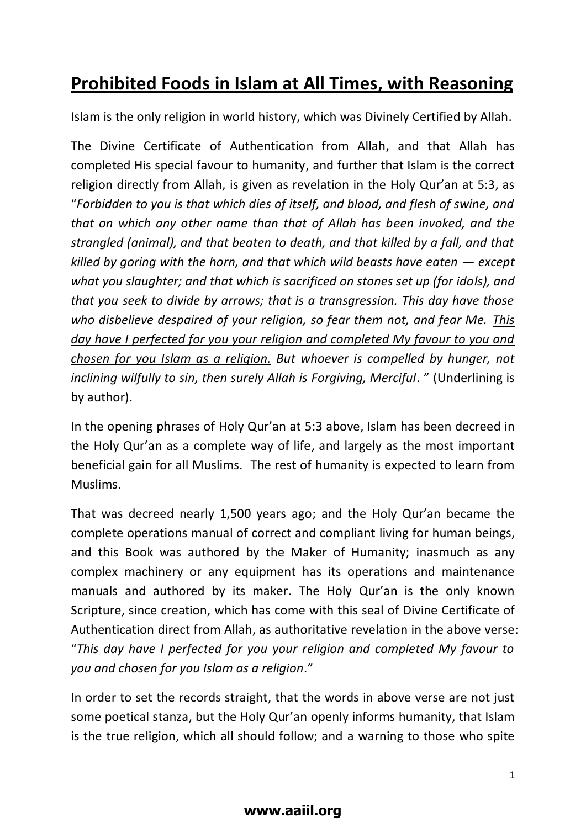## **Prohibited Foods in Islam at All Times, with Reasoning**

Islam is the only religion in world history, which was Divinely Certified by Allah.

The Divine Certificate of Authentication from Allah, and that Allah has completed His special favour to humanity, and further that Islam is the correct religion directly from Allah, is given as revelation in the Holy Qur'an at 5:3, as "*Forbidden to you is that which dies of itself, and blood, and flesh of swine, and that on which any other name than that of Allah has been invoked, and the strangled (animal), and that beaten to death, and that killed by a fall, and that killed by goring with the horn, and that which wild beasts have eaten — except what you slaughter; and that which is sacrificed on stones set up (for idols), and that you seek to divide by arrows; that is a transgression. This day have those who disbelieve despaired of your religion, so fear them not, and fear Me. This day have I perfected for you your religion and completed My favour to you and chosen for you Islam as a religion. But whoever is compelled by hunger, not inclining wilfully to sin, then surely Allah is Forgiving, Merciful*. " (Underlining is by author).

In the opening phrases of Holy Qur'an at 5:3 above, Islam has been decreed in the Holy Qur'an as a complete way of life, and largely as the most important beneficial gain for all Muslims. The rest of humanity is expected to learn from Muslims.

That was decreed nearly 1,500 years ago; and the Holy Qur'an became the complete operations manual of correct and compliant living for human beings, and this Book was authored by the Maker of Humanity; inasmuch as any complex machinery or any equipment has its operations and maintenance manuals and authored by its maker. The Holy Qur'an is the only known Scripture, since creation, which has come with this seal of Divine Certificate of Authentication direct from Allah, as authoritative revelation in the above verse: "*This day have I perfected for you your religion and completed My favour to you and chosen for you Islam as a religion*."

In order to set the records straight, that the words in above verse are not just some poetical stanza, but the Holy Qur'an openly informs humanity, that Islam is the true religion, which all should follow; and a warning to those who spite

## **www.aaiil.org**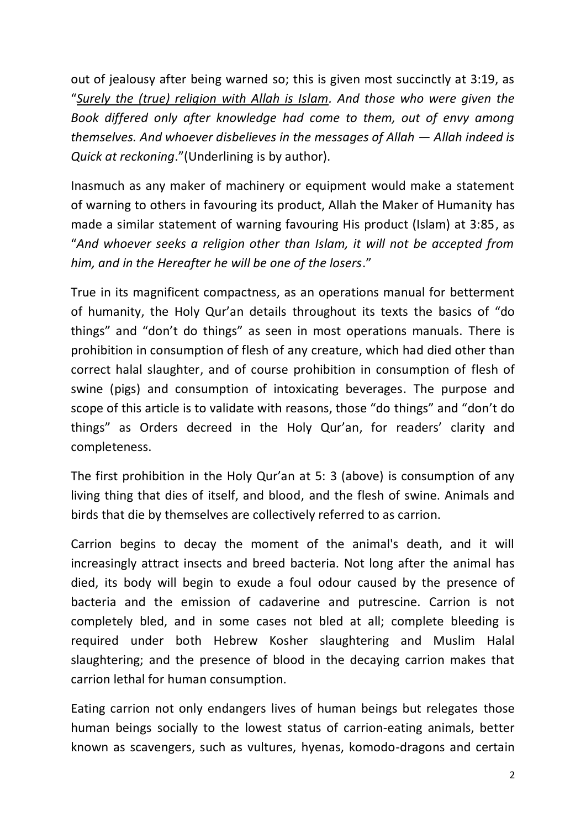out of jealousy after being warned so; this is given most succinctly at 3:19, as "*Surely the (true) religion with Allah is Islam. And those who were given the Book differed only after knowledge had come to them, out of envy among themselves. And whoever disbelieves in the messages of Allah — Allah indeed is Quick at reckoning*."(Underlining is by author).

Inasmuch as any maker of machinery or equipment would make a statement of warning to others in favouring its product, Allah the Maker of Humanity has made a similar statement of warning favouring His product (Islam) at 3:85, as "*And whoever seeks a religion other than Islam, it will not be accepted from him, and in the Hereafter he will be one of the losers*."

True in its magnificent compactness, as an operations manual for betterment of humanity, the Holy Qur'an details throughout its texts the basics of "do things" and "don't do things" as seen in most operations manuals. There is prohibition in consumption of flesh of any creature, which had died other than correct halal slaughter, and of course prohibition in consumption of flesh of swine (pigs) and consumption of intoxicating beverages. The purpose and scope of this article is to validate with reasons, those "do things" and "don't do things" as Orders decreed in the Holy Qur'an, for readers' clarity and completeness.

The first prohibition in the Holy Qur'an at 5: 3 (above) is consumption of any living thing that dies of itself, and blood, and the flesh of swine. Animals and birds that die by themselves are collectively referred to as carrion.

Carrion begins to decay the moment of the animal's death, and it will increasingly attract insects and breed [bacteria.](http://en.wikipedia.org/wiki/Bacteria) Not long after the animal has died, its body will begin to exude a foul odour caused by the presence of bacteria and the emission of [cadaverine](http://en.wikipedia.org/wiki/Cadaverine) and [putrescine.](http://en.wikipedia.org/wiki/Putrescine) Carrion is not completely bled, and in some cases not bled at all; complete bleeding is required under both Hebrew Kosher slaughtering and Muslim Halal slaughtering; and the presence of blood in the decaying carrion makes that carrion lethal for human consumption.

Eating carrion not only endangers lives of human beings but relegates those human beings socially to the lowest status of carrion-eating animals, better known as scavengers, such as vultures, hyenas, komodo-dragons and certain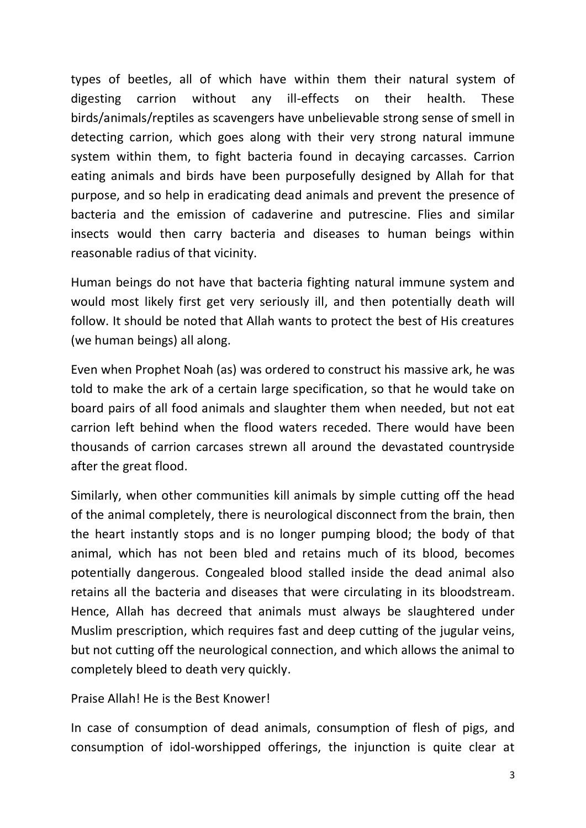types of beetles, all of which have within them their natural system of digesting carrion without any ill-effects on their health. These birds/animals/reptiles as scavengers have unbelievable strong sense of smell in detecting carrion, which goes along with their very strong natural immune system within them, to fight bacteria found in decaying carcasses. Carrion eating animals and birds have been purposefully designed by Allah for that purpose, and so help in eradicating dead animals and prevent the presence of bacteria and the emission of [cadaverine](http://en.wikipedia.org/wiki/Cadaverine) and [putrescine.](http://en.wikipedia.org/wiki/Putrescine) Flies and similar insects would then carry bacteria and diseases to human beings within reasonable radius of that vicinity.

Human beings do not have that bacteria fighting natural immune system and would most likely first get very seriously ill, and then potentially death will follow. It should be noted that Allah wants to protect the best of His creatures (we human beings) all along.

Even when Prophet Noah (as) was ordered to construct his massive ark, he was told to make the ark of a certain large specification, so that he would take on board pairs of all food animals and slaughter them when needed, but not eat carrion left behind when the flood waters receded. There would have been thousands of carrion carcases strewn all around the devastated countryside after the great flood.

Similarly, when other communities kill animals by simple cutting off the head of the animal completely, there is neurological disconnect from the brain, then the heart instantly stops and is no longer pumping blood; the body of that animal, which has not been bled and retains much of its blood, becomes potentially dangerous. Congealed blood stalled inside the dead animal also retains all the bacteria and diseases that were circulating in its bloodstream. Hence, Allah has decreed that animals must always be slaughtered under Muslim prescription, which requires fast and deep cutting of the jugular veins, but not cutting off the neurological connection, and which allows the animal to completely bleed to death very quickly.

Praise Allah! He is the Best Knower!

In case of consumption of dead animals, consumption of flesh of pigs, and consumption of idol-worshipped offerings, the injunction is quite clear at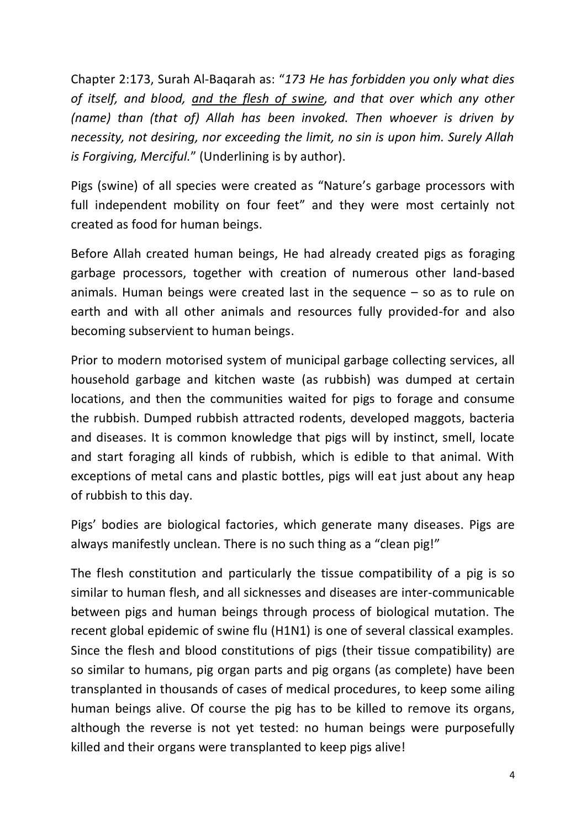Chapter 2:173, Surah Al-Baqarah as: "*173 He has forbidden you only what dies of itself, and blood, and the flesh of swine, and that over which any other (name) than (that of) Allah has been invoked. Then whoever is driven by necessity, not desiring, nor exceeding the limit, no sin is upon him. Surely Allah is Forgiving, Merciful.*" (Underlining is by author).

Pigs (swine) of all species were created as "Nature's garbage processors with full independent mobility on four feet" and they were most certainly not created as food for human beings.

Before Allah created human beings, He had already created pigs as foraging garbage processors, together with creation of numerous other land-based animals. Human beings were created last in the sequence – so as to rule on earth and with all other animals and resources fully provided-for and also becoming subservient to human beings.

Prior to modern motorised system of municipal garbage collecting services, all household garbage and kitchen waste (as rubbish) was dumped at certain locations, and then the communities waited for pigs to forage and consume the rubbish. Dumped rubbish attracted rodents, developed maggots, bacteria and diseases. It is common knowledge that pigs will by instinct, smell, locate and start foraging all kinds of rubbish, which is edible to that animal. With exceptions of metal cans and plastic bottles, pigs will eat just about any heap of rubbish to this day.

Pigs' bodies are biological factories, which generate many diseases. Pigs are always manifestly unclean. There is no such thing as a "clean pig!"

The flesh constitution and particularly the tissue compatibility of a pig is so similar to human flesh, and all sicknesses and diseases are inter-communicable between pigs and human beings through process of biological mutation. The recent global epidemic of swine flu (H1N1) is one of several classical examples. Since the flesh and blood constitutions of pigs (their tissue compatibility) are so similar to humans, pig organ parts and pig organs (as complete) have been transplanted in thousands of cases of medical procedures, to keep some ailing human beings alive. Of course the pig has to be killed to remove its organs, although the reverse is not yet tested: no human beings were purposefully killed and their organs were transplanted to keep pigs alive!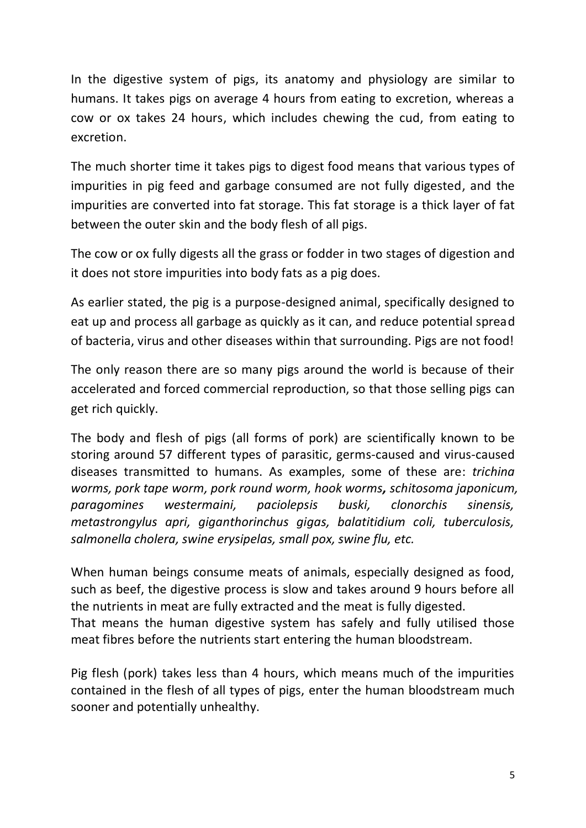In the digestive system of pigs, its anatomy and physiology are similar to humans. It takes pigs on average 4 hours from eating to excretion, whereas a cow or ox takes 24 hours, which includes chewing the cud, from eating to excretion.

The much shorter time it takes pigs to digest food means that various types of impurities in pig feed and garbage consumed are not fully digested, and the impurities are converted into fat storage. This fat storage is a thick layer of fat between the outer skin and the body flesh of all pigs.

The cow or ox fully digests all the grass or fodder in two stages of digestion and it does not store impurities into body fats as a pig does.

As earlier stated, the pig is a purpose-designed animal, specifically designed to eat up and process all garbage as quickly as it can, and reduce potential spread of bacteria, virus and other diseases within that surrounding. Pigs are not food!

The only reason there are so many pigs around the world is because of their accelerated and forced commercial reproduction, so that those selling pigs can get rich quickly.

The body and flesh of pigs (all forms of pork) are scientifically known to be storing around 57 different types of parasitic, germs-caused and virus-caused diseases transmitted to humans. As examples, some of these are: *trichina worms, pork tape worm, pork round worm, hook worms, schitosoma japonicum, paragomines westermaini, paciolepsis buski, clonorchis sinensis, metastrongylus apri, giganthorinchus gigas, balatitidium coli, tuberculosis, salmonella cholera, swine erysipelas, small pox, swine flu, etc.*

When human beings consume meats of animals, especially designed as food, such as beef, the digestive process is slow and takes around 9 hours before all the nutrients in meat are fully extracted and the meat is fully digested. That means the human digestive system has safely and fully utilised those meat fibres before the nutrients start entering the human bloodstream.

Pig flesh (pork) takes less than 4 hours, which means much of the impurities contained in the flesh of all types of pigs, enter the human bloodstream much sooner and potentially unhealthy.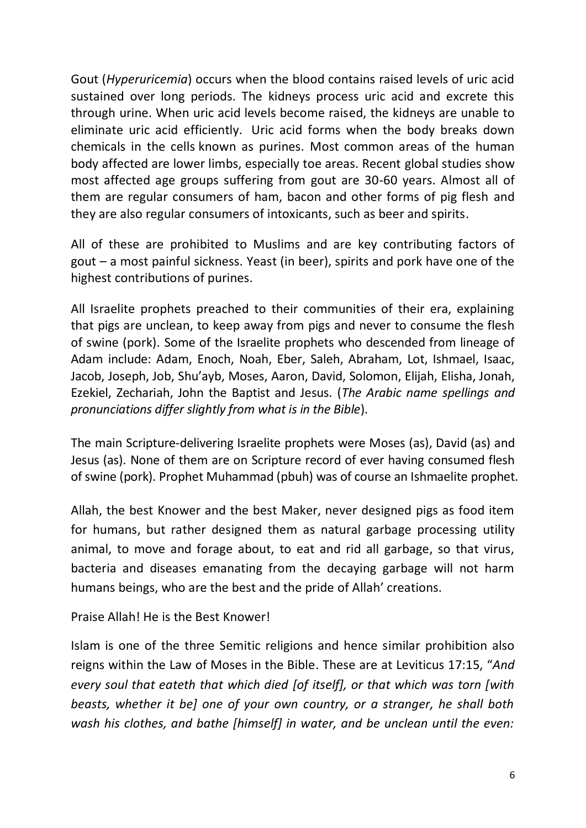Gout (*Hyperuricemia*) occurs when the blood contains raised levels of uric acid sustained over long periods. The kidneys process uric acid and excrete this through urine. When uric acid levels become raised, the kidneys are unable to eliminate uric acid efficiently. Uric acid forms when the body breaks down chemicals in the cells known as purines. Most common areas of the human body affected are lower limbs, especially toe areas. Recent global studies show most affected age groups suffering from gout are 30-60 years. Almost all of them are regular consumers of ham, bacon and other forms of pig flesh and they are also regular consumers of intoxicants, such as beer and spirits.

All of these are prohibited to Muslims and are key contributing factors of gout – a most painful sickness. Yeast (in beer), spirits and pork have one of the highest contributions of purines.

All Israelite prophets preached to their communities of their era, explaining that pigs are unclean, to keep away from pigs and never to consume the flesh of swine (pork). Some of the Israelite prophets who descended from lineage of Adam include: Adam, Enoch, Noah, Eber, Saleh, Abraham, Lot, Ishmael, Isaac, Jacob, Joseph, Job, Shu'ayb, Moses, Aaron, David, Solomon, Elijah, Elisha, Jonah, Ezekiel, Zechariah, John the Baptist and Jesus. (*The Arabic name spellings and pronunciations differ slightly from what is in the Bible*).

The main Scripture-delivering Israelite prophets were Moses (as), David (as) and Jesus (as). None of them are on Scripture record of ever having consumed flesh of swine (pork). Prophet Muhammad (pbuh) was of course an Ishmaelite prophet.

Allah, the best Knower and the best Maker, never designed pigs as food item for humans, but rather designed them as natural garbage processing utility animal, to move and forage about, to eat and rid all garbage, so that virus, bacteria and diseases emanating from the decaying garbage will not harm humans beings, who are the best and the pride of Allah' creations.

Praise Allah! He is the Best Knower!

Islam is one of the three Semitic religions and hence similar prohibition also reigns within the Law of Moses in the Bible. These are at Leviticus 17:15, "*And every soul that eateth that which died [of itself], or that which was torn [with beasts, whether it be] one of your own country, or a stranger, he shall both wash his clothes, and bathe [himself] in water, and be unclean until the even:*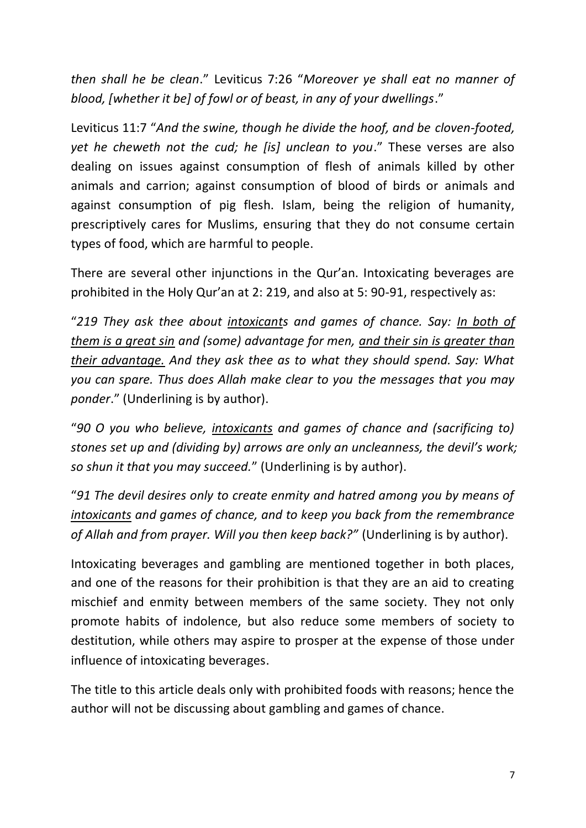*then shall he be clean*." Leviticus 7:26 "*Moreover ye shall eat no manner of blood, [whether it be] of fowl or of beast, in any of your dwellings*."

Leviticus 11:7 "*And the swine, though he divide the hoof, and be cloven-footed, yet he cheweth not the cud; he [is] unclean to you*." These verses are also dealing on issues against consumption of flesh of animals killed by other animals and carrion; against consumption of blood of birds or animals and against consumption of pig flesh. Islam, being the religion of humanity, prescriptively cares for Muslims, ensuring that they do not consume certain types of food, which are harmful to people.

There are several other injunctions in the Qur'an. Intoxicating beverages are prohibited in the Holy Qur'an at 2: 219, and also at 5: 90-91, respectively as:

"*219 They ask thee about intoxicants and games of chance. Say: In both of them is a great sin and (some) advantage for men, and their sin is greater than their advantage. And they ask thee as to what they should spend. Say: What you can spare. Thus does Allah make clear to you the messages that you may ponder*." (Underlining is by author).

"*90 O you who believe, intoxicants and games of chance and (sacrificing to) stones set up and (dividing by) arrows are only an uncleanness, the devil's work; so shun it that you may succeed.*" (Underlining is by author).

"*91 The devil desires only to create enmity and hatred among you by means of intoxicants and games of chance, and to keep you back from the remembrance of Allah and from prayer. Will you then keep back?"* (Underlining is by author).

Intoxicating beverages and gambling are mentioned together in both places, and one of the reasons for their prohibition is that they are an aid to creating mischief and enmity between members of the same society. They not only promote habits of indolence, but also reduce some members of society to destitution, while others may aspire to prosper at the expense of those under influence of intoxicating beverages.

The title to this article deals only with prohibited foods with reasons; hence the author will not be discussing about gambling and games of chance.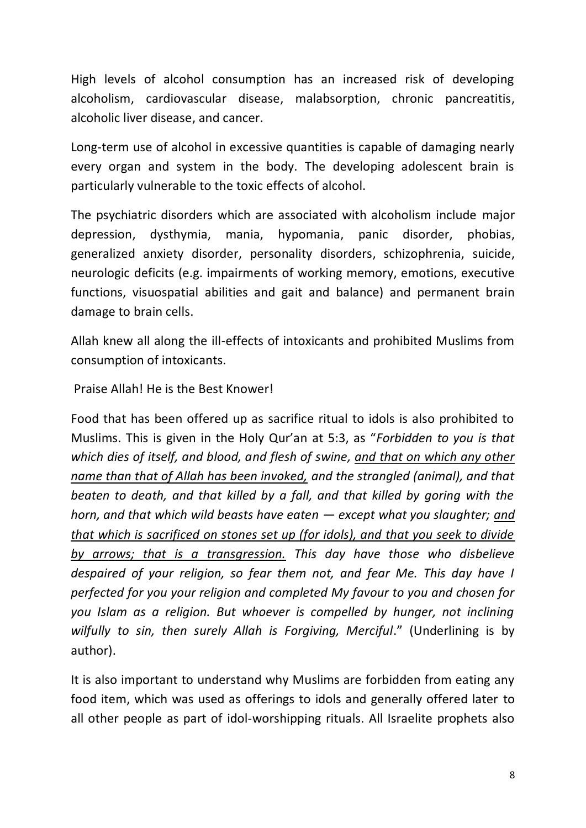High levels of alcohol consumption has an increased risk of developing [alcoholism,](http://en.wikipedia.org/wiki/Alcoholism) [cardiovascular disease,](http://en.wikipedia.org/wiki/Cardiovascular_disease) [malabsorption,](http://en.wikipedia.org/wiki/Malabsorption) [chronic pancreatitis,](http://en.wikipedia.org/wiki/Chronic_pancreatitis) [alcoholic liver disease,](http://en.wikipedia.org/wiki/Alcoholic_liver_disease) and [cancer.](http://en.wikipedia.org/wiki/Cancer)

Long-term use of alcohol in excessive quantities is capable of damaging nearly every organ and system in the body. The developing adolescent brain is particularly vulnerable to the toxic effects of alcohol.

The psychiatric disorders which are associated with alcoholism include [major](http://en.wikipedia.org/wiki/Major_depression)  [depression,](http://en.wikipedia.org/wiki/Major_depression) [dysthymia,](http://en.wikipedia.org/wiki/Dysthymia) [mania,](http://en.wikipedia.org/wiki/Mania) [hypomania,](http://en.wikipedia.org/wiki/Hypomania) [panic disorder,](http://en.wikipedia.org/wiki/Panic_disorder) [phobias,](http://en.wikipedia.org/wiki/Phobias) [generalized anxiety disorder,](http://en.wikipedia.org/wiki/Generalized_anxiety_disorder) [personality disorders,](http://en.wikipedia.org/wiki/Personality_disorders) [schizophrenia,](http://en.wikipedia.org/wiki/Schizophrenia) [suicide,](http://en.wikipedia.org/wiki/Suicide) [neurologic](http://en.wikipedia.org/wiki/Neurologic) deficits (e.g. impairments of [working memory,](http://en.wikipedia.org/wiki/Working_memory) [emotions,](http://en.wikipedia.org/wiki/Emotions) [executive](http://en.wikipedia.org/wiki/Executive_functions)  [functions,](http://en.wikipedia.org/wiki/Executive_functions) [visuospatial](http://en.wikipedia.org/wiki/Visuospatial) abilities and [gait](http://en.wikipedia.org/wiki/Gait) and [balance\)](http://en.wikipedia.org/wiki/Balance_%28ability%29) and permanent [brain](http://en.wikipedia.org/wiki/Brain_damage)  [damage](http://en.wikipedia.org/wiki/Brain_damage) to brain cells.

Allah knew all along the ill-effects of intoxicants and prohibited Muslims from consumption of intoxicants.

Praise Allah! He is the Best Knower!

Food that has been offered up as sacrifice ritual to idols is also prohibited to Muslims. This is given in the Holy Qur'an at 5:3, as "*Forbidden to you is that which dies of itself, and blood, and flesh of swine, and that on which any other name than that of Allah has been invoked, and the strangled (animal), and that beaten to death, and that killed by a fall, and that killed by goring with the horn, and that which wild beasts have eaten — except what you slaughter; and that which is sacrificed on stones set up (for idols), and that you seek to divide by arrows; that is a transgression. This day have those who disbelieve despaired of your religion, so fear them not, and fear Me. This day have I perfected for you your religion and completed My favour to you and chosen for you Islam as a religion. But whoever is compelled by hunger, not inclining wilfully to sin, then surely Allah is Forgiving, Merciful*." (Underlining is by author).

It is also important to understand why Muslims are forbidden from eating any food item, which was used as offerings to idols and generally offered later to all other people as part of idol-worshipping rituals. All Israelite prophets also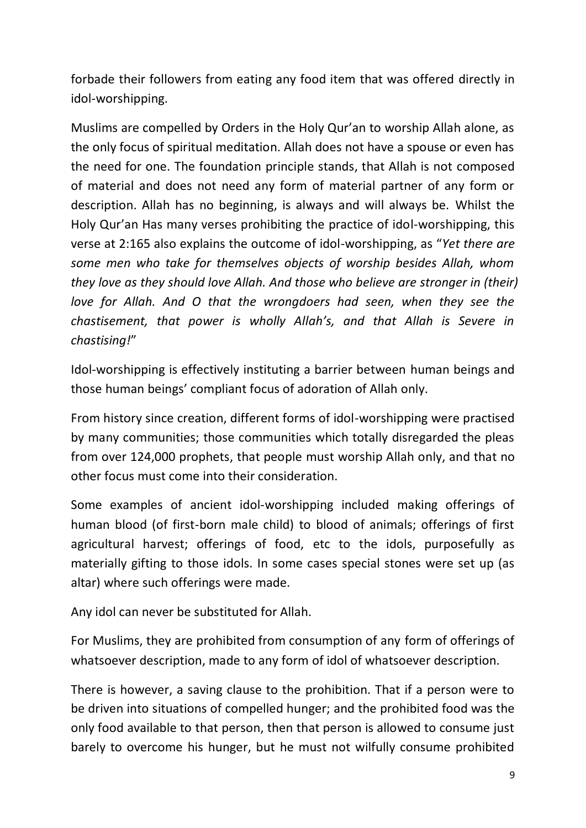forbade their followers from eating any food item that was offered directly in idol-worshipping.

Muslims are compelled by Orders in the Holy Qur'an to worship Allah alone, as the only focus of spiritual meditation. Allah does not have a spouse or even has the need for one. The foundation principle stands, that Allah is not composed of material and does not need any form of material partner of any form or description. Allah has no beginning, is always and will always be. Whilst the Holy Qur'an Has many verses prohibiting the practice of idol-worshipping, this verse at 2:165 also explains the outcome of idol-worshipping, as "*Yet there are some men who take for themselves objects of worship besides Allah, whom they love as they should love Allah. And those who believe are stronger in (their) love for Allah. And O that the wrongdoers had seen, when they see the chastisement, that power is wholly Allah's, and that Allah is Severe in chastising!*"

Idol-worshipping is effectively instituting a barrier between human beings and those human beings' compliant focus of adoration of Allah only.

From history since creation, different forms of idol-worshipping were practised by many communities; those communities which totally disregarded the pleas from over 124,000 prophets, that people must worship Allah only, and that no other focus must come into their consideration.

Some examples of ancient idol-worshipping included making offerings of human blood (of first-born male child) to blood of animals; offerings of first agricultural harvest; offerings of food, etc to the idols, purposefully as materially gifting to those idols. In some cases special stones were set up (as altar) where such offerings were made.

Any idol can never be substituted for Allah.

For Muslims, they are prohibited from consumption of any form of offerings of whatsoever description, made to any form of idol of whatsoever description.

There is however, a saving clause to the prohibition. That if a person were to be driven into situations of compelled hunger; and the prohibited food was the only food available to that person, then that person is allowed to consume just barely to overcome his hunger, but he must not wilfully consume prohibited